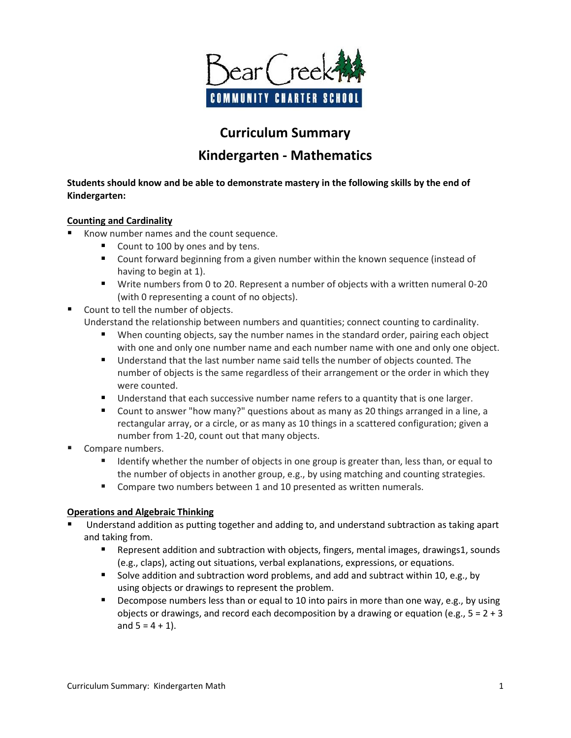

# **Curriculum Summary**

# **Kindergarten - Mathematics**

### **Students should know and be able to demonstrate mastery in the following skills by the end of Kindergarten:**

## **Counting and Cardinality**

- Know number names and the count sequence.
	- Count to 100 by ones and by tens.
	- Count forward beginning from a given number within the known sequence (instead of having to begin at 1).
	- Write numbers from 0 to 20. Represent a number of objects with a written numeral 0-20 (with 0 representing a count of no objects).
- Count to tell the number of objects. Understand the relationship between numbers and quantities; connect counting to cardinality.
	- **When counting objects, say the number names in the standard order, pairing each object** with one and only one number name and each number name with one and only one object.
	- Understand that the last number name said tells the number of objects counted. The number of objects is the same regardless of their arrangement or the order in which they were counted.
	- **Understand that each successive number name refers to a quantity that is one larger.**
	- Count to answer "how many?" questions about as many as 20 things arranged in a line, a rectangular array, or a circle, or as many as 10 things in a scattered configuration; given a number from 1-20, count out that many objects.
- Compare numbers.
	- Identify whether the number of objects in one group is greater than, less than, or equal to the number of objects in another group, e.g., by using matching and counting strategies.
	- Compare two numbers between 1 and 10 presented as written numerals.

### **Operations and Algebraic Thinking**

- Understand addition as putting together and adding to, and understand subtraction as taking apart and taking from.
	- Represent addition and subtraction with objects, fingers, mental images, drawings1, sounds (e.g., claps), acting out situations, verbal explanations, expressions, or equations.
	- Solve addition and subtraction word problems, and add and subtract within 10, e.g., by using objects or drawings to represent the problem.
	- **Decompose numbers less than or equal to 10 into pairs in more than one way, e.g., by using** objects or drawings, and record each decomposition by a drawing or equation (e.g.,  $5 = 2 + 3$ ) and  $5 = 4 + 1$ ).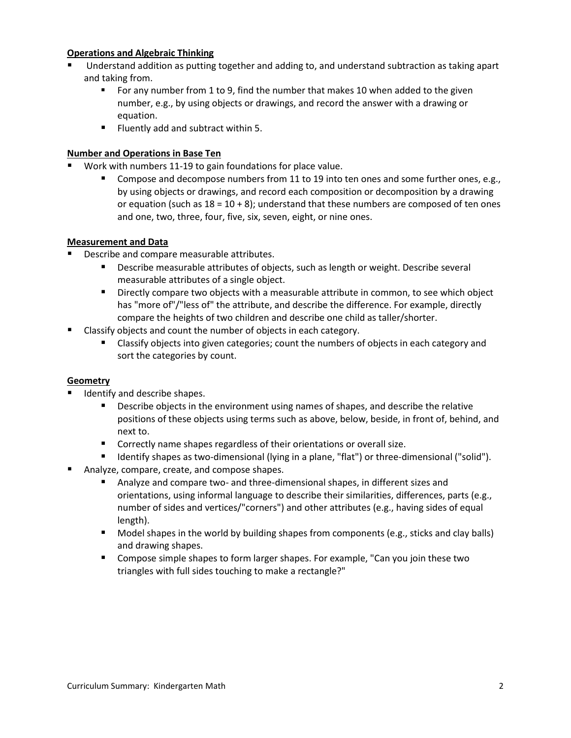#### **Operations and Algebraic Thinking**

- Understand addition as putting together and adding to, and understand subtraction as taking apart and taking from.
	- For any number from 1 to 9, find the number that makes 10 when added to the given number, e.g., by using objects or drawings, and record the answer with a drawing or equation.
	- **Fillently add and subtract within 5.**

#### **Number and Operations in Base Ten**

- Work with numbers 11-19 to gain foundations for place value.
	- **Compose and decompose numbers from 11 to 19 into ten ones and some further ones, e.g.,** by using objects or drawings, and record each composition or decomposition by a drawing or equation (such as  $18 = 10 + 8$ ); understand that these numbers are composed of ten ones and one, two, three, four, five, six, seven, eight, or nine ones.

#### **Measurement and Data**

- Describe and compare measurable attributes.
	- Describe measurable attributes of objects, such as length or weight. Describe several measurable attributes of a single object.
	- **P** Directly compare two objects with a measurable attribute in common, to see which object has "more of"/"less of" the attribute, and describe the difference. For example, directly compare the heights of two children and describe one child as taller/shorter.
- Classify objects and count the number of objects in each category.
	- **EXTENDITY Classify objects into given categories; count the numbers of objects in each category and** sort the categories by count.

#### **Geometry**

- Identify and describe shapes.
	- Describe objects in the environment using names of shapes, and describe the relative positions of these objects using terms such as above, below, beside, in front of, behind, and next to.
	- Correctly name shapes regardless of their orientations or overall size.
	- Identify shapes as two-dimensional (lying in a plane, "flat") or three-dimensional ("solid").
- Analyze, compare, create, and compose shapes.
	- Analyze and compare two- and three-dimensional shapes, in different sizes and orientations, using informal language to describe their similarities, differences, parts (e.g., number of sides and vertices/"corners") and other attributes (e.g., having sides of equal length).
	- **Model shapes in the world by building shapes from components (e.g., sticks and clay balls)** and drawing shapes.
	- Compose simple shapes to form larger shapes. For example, "Can you join these two triangles with full sides touching to make a rectangle?"